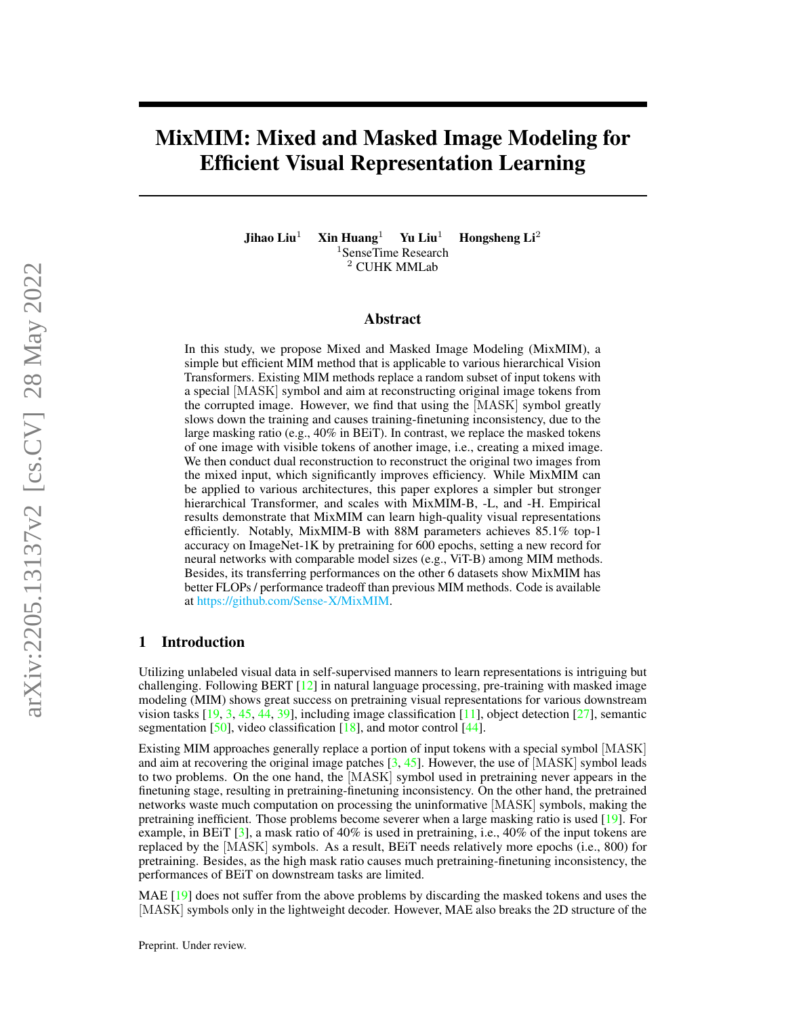# MixMIM: Mixed and Masked Image Modeling for Efficient Visual Representation Learning

Jihao Liu<sup>1</sup> Xin Huang<sup>1</sup> Yu Liu<sup>1</sup> Hongsheng Li<sup>2</sup> <sup>1</sup>SenseTime Research <sup>2</sup> CUHK MMLab

#### Abstract

In this study, we propose Mixed and Masked Image Modeling (MixMIM), a simple but efficient MIM method that is applicable to various hierarchical Vision Transformers. Existing MIM methods replace a random subset of input tokens with a special [MASK] symbol and aim at reconstructing original image tokens from the corrupted image. However, we find that using the [MASK] symbol greatly slows down the training and causes training-finetuning inconsistency, due to the large masking ratio (e.g., 40% in BEiT). In contrast, we replace the masked tokens of one image with visible tokens of another image, i.e., creating a mixed image. We then conduct dual reconstruction to reconstruct the original two images from the mixed input, which significantly improves efficiency. While MixMIM can be applied to various architectures, this paper explores a simpler but stronger hierarchical Transformer, and scales with MixMIM-B, -L, and -H. Empirical results demonstrate that MixMIM can learn high-quality visual representations efficiently. Notably, MixMIM-B with 88M parameters achieves 85.1% top-1 accuracy on ImageNet-1K by pretraining for 600 epochs, setting a new record for neural networks with comparable model sizes (e.g., ViT-B) among MIM methods. Besides, its transferring performances on the other 6 datasets show MixMIM has better FLOPs / performance tradeoff than previous MIM methods. Code is available at [https://github.com/Sense-X/MixMIM.](https://github.com/Sense-X/MixMIM)

# 1 Introduction

Utilizing unlabeled visual data in self-supervised manners to learn representations is intriguing but challenging. Following BERT  $\lceil 12 \rceil$  in natural language processing, pre-training with masked image modeling (MIM) shows great success on pretraining visual representations for various downstream vision tasks  $[19, 3, 45, 44, 39]$  $[19, 3, 45, 44, 39]$  $[19, 3, 45, 44, 39]$  $[19, 3, 45, 44, 39]$  $[19, 3, 45, 44, 39]$  $[19, 3, 45, 44, 39]$  $[19, 3, 45, 44, 39]$  $[19, 3, 45, 44, 39]$  $[19, 3, 45, 44, 39]$ , including image classification  $[11]$ , object detection  $[27]$ , semantic segmentation [\[50\]](#page-12-2), video classification [\[18\]](#page-11-5), and motor control [\[44\]](#page-12-1).

Existing MIM approaches generally replace a portion of input tokens with a special symbol [MASK] and aim at recovering the original image patches  $[3, 45]$  $[3, 45]$  $[3, 45]$ . However, the use of [MASK] symbol leads to two problems. On the one hand, the [MASK] symbol used in pretraining never appears in the finetuning stage, resulting in pretraining-finetuning inconsistency. On the other hand, the pretrained networks waste much computation on processing the uninformative [MASK] symbols, making the pretraining inefficient. Those problems become severer when a large masking ratio is used [\[19\]](#page-11-1). For example, in BEiT [\[3\]](#page-10-0), a mask ratio of 40% is used in pretraining, i.e., 40% of the input tokens are replaced by the [MASK] symbols. As a result, BEiT needs relatively more epochs (i.e., 800) for pretraining. Besides, as the high mask ratio causes much pretraining-finetuning inconsistency, the performances of BEiT on downstream tasks are limited.

MAE [\[19\]](#page-11-1) does not suffer from the above problems by discarding the masked tokens and uses the [MASK] symbols only in the lightweight decoder. However, MAE also breaks the 2D structure of the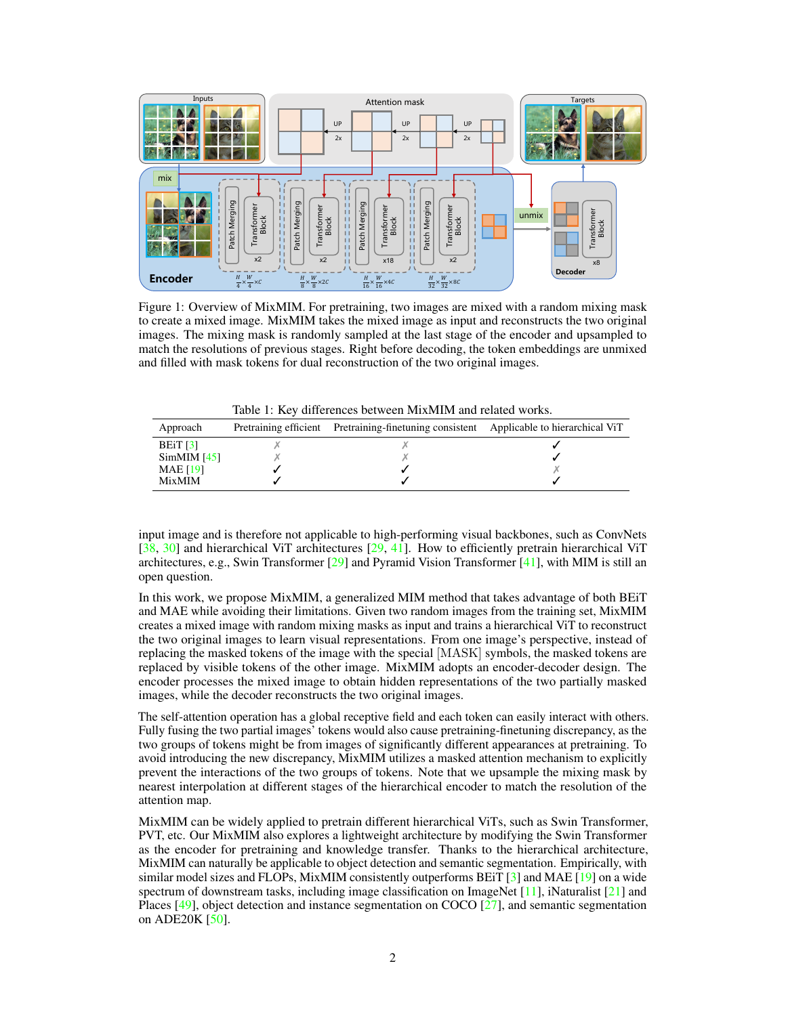<span id="page-1-0"></span>

Figure 1: Overview of MixMIM. For pretraining, two images are mixed with a random mixing mask to create a mixed image. MixMIM takes the mixed image as input and reconstructs the two original images. The mixing mask is randomly sampled at the last stage of the encoder and upsampled to match the resolutions of previous stages. Right before decoding, the token embeddings are unmixed and filled with mask tokens for dual reconstruction of the two original images.

Table 1: Key differences between MixMIM and related works.

| Approach        | Pretraining efficient Pretraining-finetuning consistent | Applicable to hierarchical ViT |
|-----------------|---------------------------------------------------------|--------------------------------|
| BEIT $[3]$      |                                                         |                                |
| SimMIM [45]     |                                                         |                                |
| <b>MAE</b> [19] |                                                         |                                |
| <b>MixMIM</b>   |                                                         |                                |

input image and is therefore not applicable to high-performing visual backbones, such as ConvNets [\[38,](#page-11-6) [30\]](#page-11-7) and hierarchical ViT architectures [\[29,](#page-11-8) [41\]](#page-11-9). How to efficiently pretrain hierarchical ViT architectures, e.g., Swin Transformer  $[29]$  and Pyramid Vision Transformer  $[41]$ , with MIM is still an open question.

In this work, we propose MixMIM, a generalized MIM method that takes advantage of both BEiT and MAE while avoiding their limitations. Given two random images from the training set, MixMIM creates a mixed image with random mixing masks as input and trains a hierarchical ViT to reconstruct the two original images to learn visual representations. From one image's perspective, instead of replacing the masked tokens of the image with the special [MASK] symbols, the masked tokens are replaced by visible tokens of the other image. MixMIM adopts an encoder-decoder design. The encoder processes the mixed image to obtain hidden representations of the two partially masked images, while the decoder reconstructs the two original images.

The self-attention operation has a global receptive field and each token can easily interact with others. Fully fusing the two partial images' tokens would also cause pretraining-finetuning discrepancy, as the two groups of tokens might be from images of significantly different appearances at pretraining. To avoid introducing the new discrepancy, MixMIM utilizes a masked attention mechanism to explicitly prevent the interactions of the two groups of tokens. Note that we upsample the mixing mask by nearest interpolation at different stages of the hierarchical encoder to match the resolution of the attention map.

MixMIM can be widely applied to pretrain different hierarchical ViTs, such as Swin Transformer, PVT, etc. Our MixMIM also explores a lightweight architecture by modifying the Swin Transformer as the encoder for pretraining and knowledge transfer. Thanks to the hierarchical architecture, MixMIM can naturally be applicable to object detection and semantic segmentation. Empirically, with similar model sizes and FLOPs, MixMIM consistently outperforms BEiT [\[3\]](#page-10-0) and MAE [\[19\]](#page-11-1) on a wide spectrum of downstream tasks, including image classification on ImageNet  $[11]$ , iNaturalist  $[21]$  and Places [\[49\]](#page-12-3), object detection and instance segmentation on COCO [\[27\]](#page-11-4), and semantic segmentation on ADE20K [\[50\]](#page-12-2).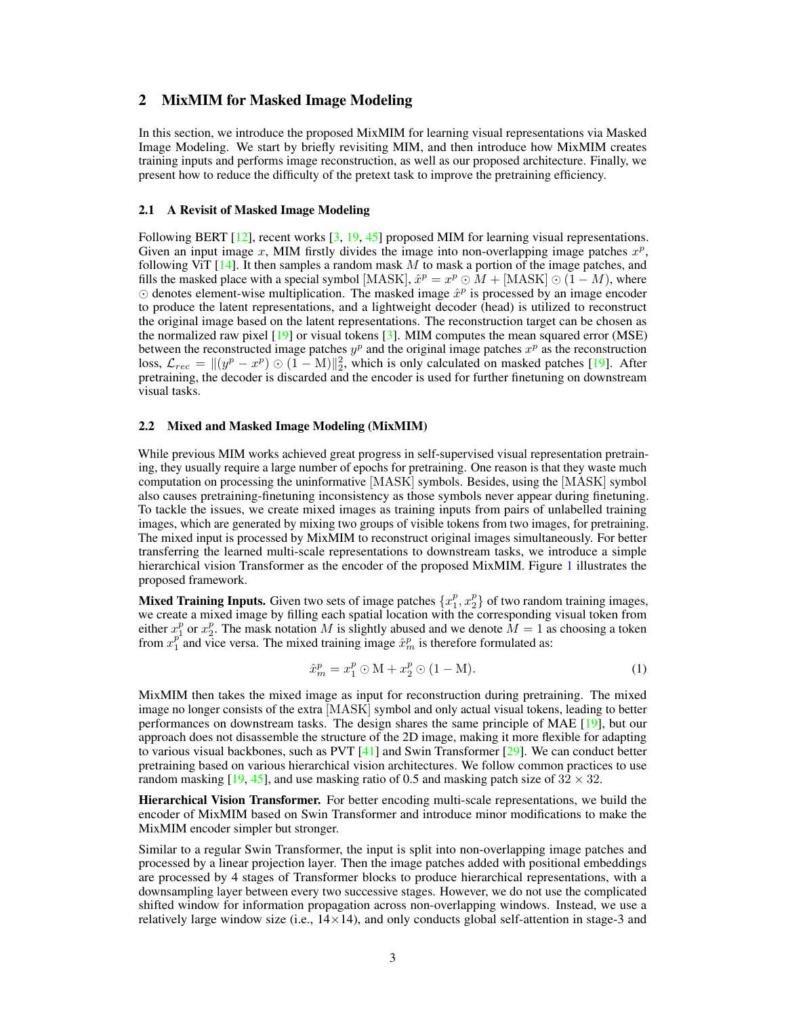# 2 MixMIM for Masked Image Modeling

In this section, we introduce the proposed MixMIM for learning visual representations via Masked Image Modeling. We start by briefly revisiting MIM, and then introduce how MixMIM creates training inputs and performs image reconstruction, as well as our proposed architecture. Finally, we present how to reduce the difficulty of the pretext task to improve the pretraining efficiency.

#### 2.1 A Revisit of Masked Image Modeling

Following BERT [\[12\]](#page-11-0), recent works [\[3,](#page-10-0) [19,](#page-11-1) [45\]](#page-12-0) proposed MIM for learning visual representations. Given an input image x, MIM firstly divides the image into non-overlapping image patches  $x^p$ , following ViT  $[14]$ . It then samples a random mask M to mask a portion of the image patches, and fills the masked place with a special symbol [MASK],  $\hat{x}^p = x^p \odot M +$  [MASK]  $\odot (1 - M)$ , where  $\odot$  denotes element-wise multiplication. The masked image  $\hat{x}^p$  is processed by an image encoder to produce the latent representations, and a lightweight decoder (head) is utilized to reconstruct the original image based on the latent representations. The reconstruction target can be chosen as the normalized raw pixel  $[19]$  or visual tokens  $[3]$ . MIM computes the mean squared error (MSE) between the reconstructed image patches  $y^p$  and the original image patches  $x^p$  as the reconstruction loss,  $\mathcal{L}_{rec} = ||(y^p - x^p) \odot (1 - M)||_2^2$ , which is only calculated on masked patches [\[19\]](#page-11-1). After pretraining, the decoder is discarded and the encoder is used for further finetuning on downstream visual tasks.

#### <span id="page-2-0"></span>2.2 Mixed and Masked Image Modeling (MixMIM)

While previous MIM works achieved great progress in self-supervised visual representation pretraining, they usually require a large number of epochs for pretraining. One reason is that they waste much computation on processing the uninformative [MASK] symbols. Besides, using the [MASK] symbol also causes pretraining-finetuning inconsistency as those symbols never appear during finetuning. To tackle the issues, we create mixed images as training inputs from pairs of unlabelled training images, which are generated by mixing two groups of visible tokens from two images, for pretraining. The mixed input is processed by MixMIM to reconstruct original images simultaneously. For better transferring the learned multi-scale representations to downstream tasks, we introduce a simple hierarchical vision Transformer as the encoder of the proposed MixMIM. Figure [1](#page-1-0) illustrates the proposed framework.

**Mixed Training Inputs.** Given two sets of image patches  $\{x_1^p, x_2^p\}$  of two random training images, we create a mixed image by filling each spatial location with the corresponding visual token from either  $x_1^p$  or  $x_2^p$ . The mask notation M is slightly abused and we denote  $M = 1$  as choosing a token from  $x_1^{p^1}$  and vice versa. The mixed training image  $\hat{x}_m^p$  is therefore formulated as:

$$
\hat{x}_m^p = x_1^p \odot \mathbf{M} + x_2^p \odot (1 - \mathbf{M}).\tag{1}
$$

MixMIM then takes the mixed image as input for reconstruction during pretraining. The mixed image no longer consists of the extra [MASK] symbol and only actual visual tokens, leading to better performances on downstream tasks. The design shares the same principle of MAE [\[19\]](#page-11-1), but our approach does not disassemble the structure of the 2D image, making it more flexible for adapting to various visual backbones, such as PVT  $[41]$  and Swin Transformer  $[29]$ . We can conduct better pretraining based on various hierarchical vision architectures. We follow common practices to use random masking [\[19,](#page-11-1) [45\]](#page-12-0), and use masking ratio of 0.5 and masking patch size of  $32 \times 32$ .

Hierarchical Vision Transformer. For better encoding multi-scale representations, we build the encoder of MixMIM based on Swin Transformer and introduce minor modifications to make the MixMIM encoder simpler but stronger.

Similar to a regular Swin Transformer, the input is split into non-overlapping image patches and processed by a linear projection layer. Then the image patches added with positional embeddings are processed by 4 stages of Transformer blocks to produce hierarchical representations, with a downsampling layer between every two successive stages. However, we do not use the complicated shifted window for information propagation across non-overlapping windows. Instead, we use a relatively large window size (i.e.,  $14 \times 14$ ), and only conducts global self-attention in stage-3 and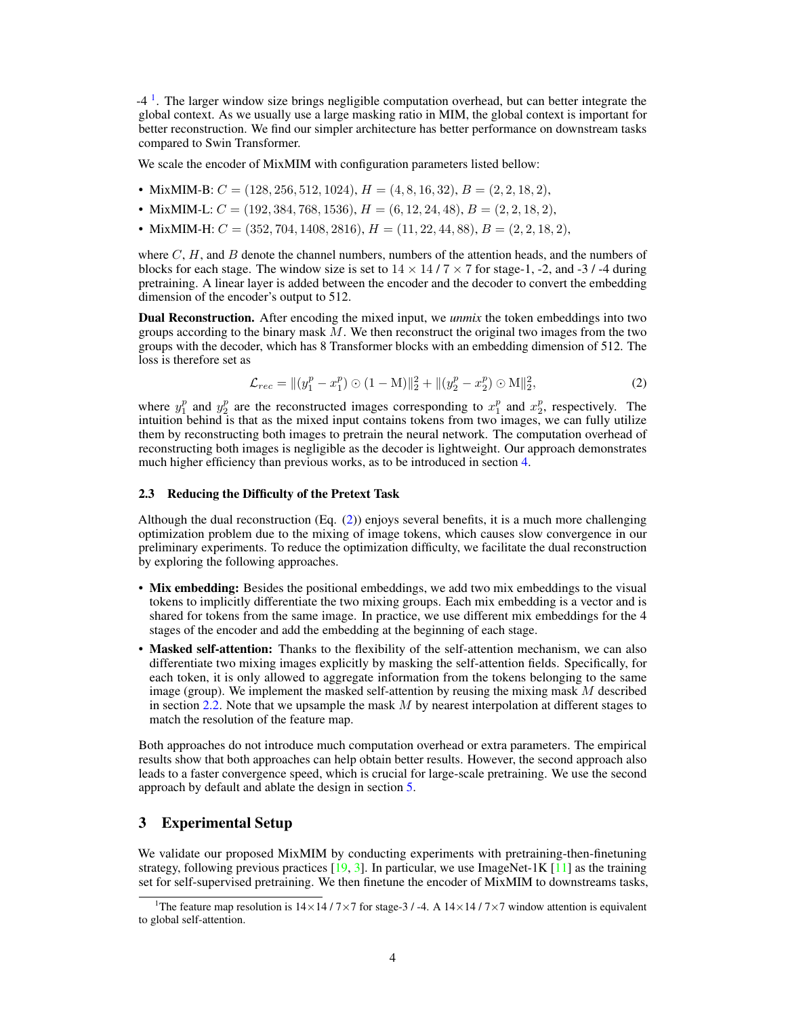<sup>[1](#page-3-0)</sup>. The larger window size brings negligible computation overhead, but can better integrate the global context. As we usually use a large masking ratio in MIM, the global context is important for better reconstruction. We find our simpler architecture has better performance on downstream tasks compared to Swin Transformer.

We scale the encoder of MixMIM with configuration parameters listed bellow:

- MixMIM-B:  $C = (128, 256, 512, 1024), H = (4, 8, 16, 32), B = (2, 2, 18, 2),$
- MixMIM-L:  $C = (192, 384, 768, 1536), H = (6, 12, 24, 48), B = (2, 2, 18, 2),$
- MixMIM-H:  $C = (352, 704, 1408, 2816), H = (11, 22, 44, 88), B = (2, 2, 18, 2),$

where  $C$ ,  $H$ , and  $B$  denote the channel numbers, numbers of the attention heads, and the numbers of blocks for each stage. The window size is set to  $14 \times 14 / 7 \times 7$  for stage-1, -2, and -3 / -4 during pretraining. A linear layer is added between the encoder and the decoder to convert the embedding dimension of the encoder's output to 512.

Dual Reconstruction. After encoding the mixed input, we *unmix* the token embeddings into two groups according to the binary mask  $M$ . We then reconstruct the original two images from the two groups with the decoder, which has 8 Transformer blocks with an embedding dimension of 512. The loss is therefore set as

<span id="page-3-1"></span>
$$
\mathcal{L}_{rec} = ||(y_1^p - x_1^p) \odot (1 - M)||_2^2 + ||(y_2^p - x_2^p) \odot M||_2^2, \tag{2}
$$

where  $y_1^p$  and  $y_2^p$  are the reconstructed images corresponding to  $x_1^p$  and  $x_2^p$ , respectively. The intuition behind is that as the mixed input contains tokens from two images, we can fully utilize them by reconstructing both images to pretrain the neural network. The computation overhead of reconstructing both images is negligible as the decoder is lightweight. Our approach demonstrates much higher efficiency than previous works, as to be introduced in section [4.](#page-4-0)

#### <span id="page-3-3"></span>2.3 Reducing the Difficulty of the Pretext Task

Although the dual reconstruction (Eq. [\(2\)](#page-3-1)) enjoys several benefits, it is a much more challenging optimization problem due to the mixing of image tokens, which causes slow convergence in our preliminary experiments. To reduce the optimization difficulty, we facilitate the dual reconstruction by exploring the following approaches.

- Mix embedding: Besides the positional embeddings, we add two mix embeddings to the visual tokens to implicitly differentiate the two mixing groups. Each mix embedding is a vector and is shared for tokens from the same image. In practice, we use different mix embeddings for the 4 stages of the encoder and add the embedding at the beginning of each stage.
- Masked self-attention: Thanks to the flexibility of the self-attention mechanism, we can also differentiate two mixing images explicitly by masking the self-attention fields. Specifically, for each token, it is only allowed to aggregate information from the tokens belonging to the same image (group). We implement the masked self-attention by reusing the mixing mask  $M$  described in section [2.2.](#page-2-0) Note that we upsample the mask  $M$  by nearest interpolation at different stages to match the resolution of the feature map.

Both approaches do not introduce much computation overhead or extra parameters. The empirical results show that both approaches can help obtain better results. However, the second approach also leads to a faster convergence speed, which is crucial for large-scale pretraining. We use the second approach by default and ablate the design in section [5.](#page-7-0)

# <span id="page-3-2"></span>3 Experimental Setup

We validate our proposed MixMIM by conducting experiments with pretraining-then-finetuning strategy, following previous practices  $[19, 3]$  $[19, 3]$  $[19, 3]$ . In particular, we use ImageNet-1K  $[11]$  as the training set for self-supervised pretraining. We then finetune the encoder of MixMIM to downstreams tasks,

<span id="page-3-0"></span><sup>&</sup>lt;sup>1</sup>The feature map resolution is  $14\times14/7\times7$  for stage-3 / -4. A  $14\times14/7\times7$  window attention is equivalent to global self-attention.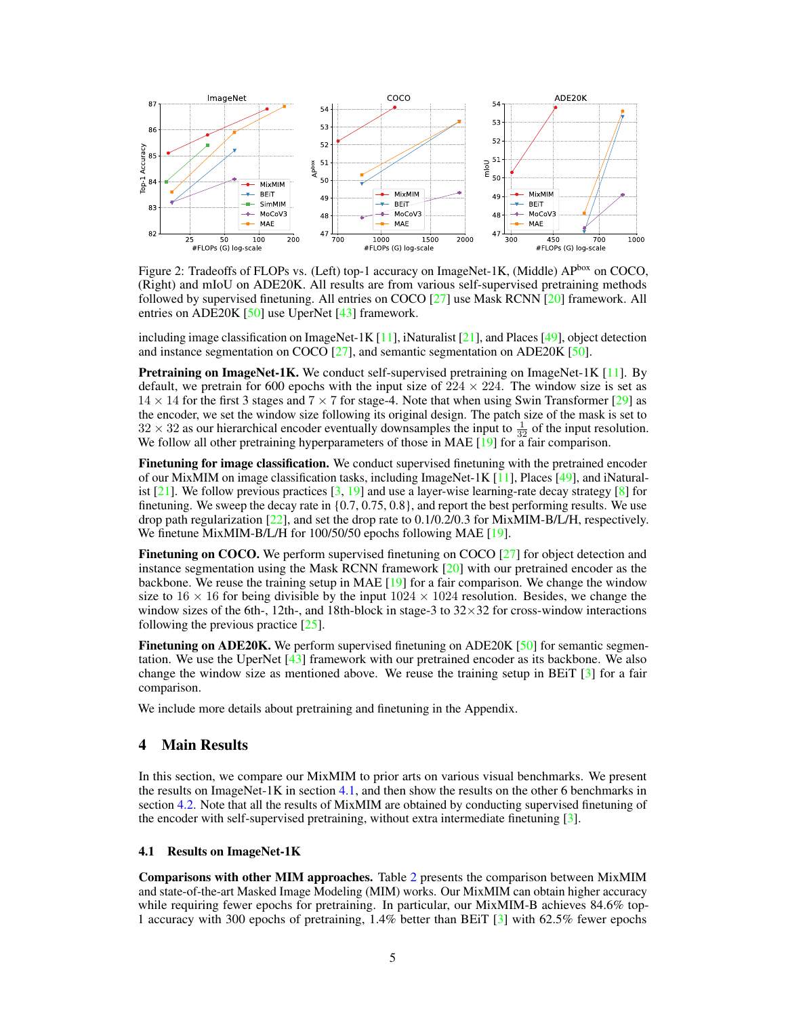<span id="page-4-2"></span>

Figure 2: Tradeoffs of FLOPs vs. (Left) top-1 accuracy on ImageNet-1K, (Middle) APbox on COCO, (Right) and mIoU on ADE20K. All results are from various self-supervised pretraining methods followed by supervised finetuning. All entries on COCO [\[27\]](#page-11-4) use Mask RCNN [\[20\]](#page-11-12) framework. All entries on ADE20K  $[50]$  use UperNet  $[43]$  framework.

including image classification on ImageNet-1K  $[11]$ , iNaturalist  $[21]$ , and Places  $[49]$ , object detection and instance segmentation on COCO [\[27\]](#page-11-4), and semantic segmentation on ADE20K [\[50\]](#page-12-2).

**Pretraining on ImageNet-1K.** We conduct self-supervised pretraining on ImageNet-1K  $[11]$ . By default, we pretrain for 600 epochs with the input size of  $224 \times 224$ . The window size is set as  $14 \times 14$  for the first 3 stages and  $7 \times 7$  for stage-4. Note that when using Swin Transformer [\[29\]](#page-11-8) as the encoder, we set the window size following its original design. The patch size of the mask is set to  $32 \times 32$  as our hierarchical encoder eventually downsamples the input to  $\frac{1}{32}$  of the input resolution. We follow all other pretraining hyperparameters of those in MAE [\[19\]](#page-11-1) for a fair comparison.

Finetuning for image classification. We conduct supervised finetuning with the pretrained encoder of our MixMIM on image classification tasks, including ImageNet-1K [\[11\]](#page-11-3), Places [\[49\]](#page-12-3), and iNaturalist  $[21]$ . We follow previous practices  $[3, 19]$  $[3, 19]$  $[3, 19]$  and use a layer-wise learning-rate decay strategy  $[8]$  for finetuning. We sweep the decay rate in {0.7, 0.75, 0.8}, and report the best performing results. We use drop path regularization [\[22\]](#page-11-13), and set the drop rate to 0.1/0.2/0.3 for MixMIM-B/L/H, respectively. We finetune MixMIM-B/L/H for 100/50/50 epochs following MAE [\[19\]](#page-11-1).

Finetuning on COCO. We perform supervised finetuning on COCO [\[27\]](#page-11-4) for object detection and instance segmentation using the Mask RCNN framework [\[20\]](#page-11-12) with our pretrained encoder as the backbone. We reuse the training setup in MAE  $[19]$  for a fair comparison. We change the window size to  $16 \times 16$  for being divisible by the input  $1024 \times 1024$  resolution. Besides, we change the window sizes of the 6th-, 12th-, and 18th-block in stage-3 to  $32 \times 32$  for cross-window interactions following the previous practice [\[25\]](#page-11-14).

Finetuning on ADE20K. We perform supervised finetuning on ADE20K [\[50\]](#page-12-2) for semantic segmentation. We use the UperNet [\[43\]](#page-12-4) framework with our pretrained encoder as its backbone. We also change the window size as mentioned above. We reuse the training setup in BEiT [\[3\]](#page-10-0) for a fair comparison.

We include more details about pretraining and finetuning in the Appendix.

#### <span id="page-4-0"></span>4 Main Results

In this section, we compare our MixMIM to prior arts on various visual benchmarks. We present the results on ImageNet-1K in section  $4.1$ , and then show the results on the other 6 benchmarks in section [4.2.](#page-6-0) Note that all the results of MixMIM are obtained by conducting supervised finetuning of the encoder with self-supervised pretraining, without extra intermediate finetuning [\[3\]](#page-10-0).

#### <span id="page-4-1"></span>4.1 Results on ImageNet-1K

Comparisons with other MIM approaches. Table [2](#page-5-0) presents the comparison between MixMIM and state-of-the-art Masked Image Modeling (MIM) works. Our MixMIM can obtain higher accuracy while requiring fewer epochs for pretraining. In particular, our MixMIM-B achieves 84.6% top-1 accuracy with 300 epochs of pretraining, 1.4% better than BEiT [\[3\]](#page-10-0) with 62.5% fewer epochs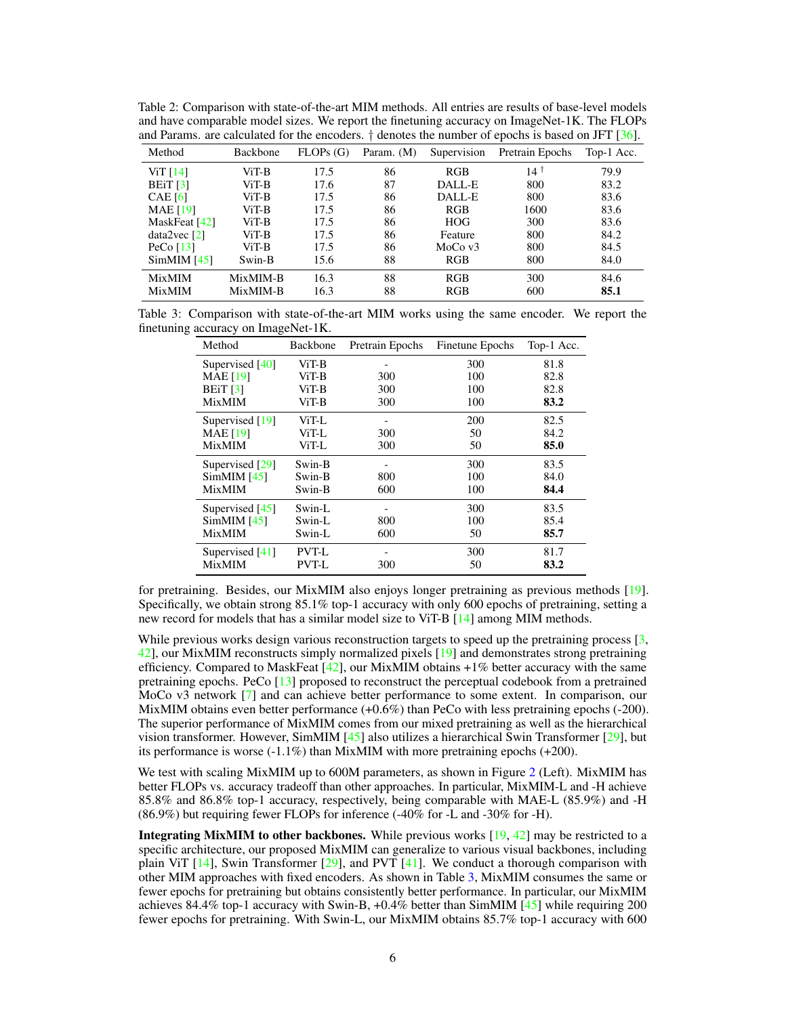<span id="page-5-0"></span>

| Table 2: Comparison with state-of-the-art MIM methods. All entries are results of base-level models       |
|-----------------------------------------------------------------------------------------------------------|
| and have comparable model sizes. We report the finetuning accuracy on ImageNet-1K. The FLOPs              |
| and Params, are calculated for the encoders. $\dagger$ denotes the number of epochs is based on JFT [36]. |

| Method                 | Backbone | FLOPs(G) | Param. (M) | Supervision | Pretrain Epochs | Top-1 Acc. |
|------------------------|----------|----------|------------|-------------|-----------------|------------|
| ViT $[14]$             | $ViT-B$  | 17.5     | 86         | RGB         | $14^{\dagger}$  | 79.9       |
| BEiT $\lceil 3 \rceil$ | $ViT-B$  | 17.6     | 87         | DALL-E      | 800             | 83.2       |
| CAE $[6]$              | ViT-B    | 17.5     | 86         | DALL-E      | 800             | 83.6       |
| MAE $[19]$             | $ViT-B$  | 17.5     | 86         | RGB         | 1600            | 83.6       |
| MaskFeat [42]          | $ViT-B$  | 17.5     | 86         | <b>HOG</b>  | 300             | 83.6       |
| data2vec[2]            | $ViT-B$  | 17.5     | 86         | Feature     | 800             | 84.2       |
| PeCo $[13]$            | $ViT-B$  | 17.5     | 86         | MoCo $v3$   | 800             | 84.5       |
| SimMIM [45]            | Swin-B   | 15.6     | 88         | RGB         | 800             | 84.0       |
| <b>MixMIM</b>          | MixMIM-B | 16.3     | 88         | RGB         | 300             | 84.6       |
| <b>MixMIM</b>          | MixMIM-B | 16.3     | 88         | RGB         | 600             | 85.1       |

<span id="page-5-1"></span>Table 3: Comparison with state-of-the-art MIM works using the same encoder. We report the finetuning accuracy on ImageNet-1K.

| Method          | Backbone | Pretrain Epochs | Finetune Epochs | Top-1 Acc. |
|-----------------|----------|-----------------|-----------------|------------|
| Supervised [40] | ViT-B    |                 | 300             | 81.8       |
| <b>MAE</b> [19] | ViT-B    | 300             | 100             | 82.8       |
| BEiT $[3]$      | ViT-B    | 300             | 100             | 82.8       |
| MixMIM          | ViT-B    | 300             | 100             | 83.2       |
| Supervised [19] | ViT-L    |                 | 200             | 82.5       |
| <b>MAE</b> [19] | ViT-L    | 300             | 50              | 84.2       |
| <b>MixMIM</b>   | ViT-L    | 300             | 50              | 85.0       |
| Supervised [29] | Swin-B   |                 | 300             | 83.5       |
| SimMIM [45]     | Swin-B   | 800             | 100             | 84.0       |
| <b>MixMIM</b>   | Swin-B   | 600             | 100             | 84.4       |
| Supervised [45] | Swin-L   |                 | 300             | 83.5       |
| SimMIM [45]     | Swin-L   | 800             | 100             | 85.4       |
| <b>MixMIM</b>   | Swin-L   | 600             | 50              | 85.7       |
| Supervised [41] | PVT-L    |                 | 300             | 81.7       |
| <b>MixMIM</b>   | PVT-L    | 300             | 50              | 83.2       |

for pretraining. Besides, our MixMIM also enjoys longer pretraining as previous methods [\[19\]](#page-11-1). Specifically, we obtain strong 85.1% top-1 accuracy with only 600 epochs of pretraining, setting a new record for models that has a similar model size to ViT-B [\[14\]](#page-11-11) among MIM methods.

While previous works design various reconstruction targets to speed up the pretraining process [\[3,](#page-10-0) [42\]](#page-12-5), our MixMIM reconstructs simply normalized pixels [\[19\]](#page-11-1) and demonstrates strong pretraining efficiency. Compared to MaskFeat  $[42]$ , our MixMIM obtains  $+1\%$  better accuracy with the same pretraining epochs. PeCo [\[13\]](#page-11-16) proposed to reconstruct the perceptual codebook from a pretrained MoCo v3 network [\[7\]](#page-10-4) and can achieve better performance to some extent. In comparison, our MixMIM obtains even better performance (+0.6%) than PeCo with less pretraining epochs (-200). The superior performance of MixMIM comes from our mixed pretraining as well as the hierarchical vision transformer. However, SimMIM [\[45\]](#page-12-0) also utilizes a hierarchical Swin Transformer [\[29\]](#page-11-8), but its performance is worse  $(-1.1\%)$  than MixMIM with more pretraining epochs  $(+200)$ .

We test with scaling MixMIM up to 600M parameters, as shown in Figure [2](#page-4-2) (Left). MixMIM has better FLOPs vs. accuracy tradeoff than other approaches. In particular, MixMIM-L and -H achieve 85.8% and 86.8% top-1 accuracy, respectively, being comparable with MAE-L (85.9%) and -H (86.9%) but requiring fewer FLOPs for inference (-40% for -L and -30% for -H).

**Integrating MixMIM to other backbones.** While previous works  $[19, 42]$  $[19, 42]$  $[19, 42]$  may be restricted to a specific architecture, our proposed MixMIM can generalize to various visual backbones, including plain ViT  $[14]$ , Swin Transformer  $[29]$ , and PVT  $[41]$ . We conduct a thorough comparison with other MIM approaches with fixed encoders. As shown in Table [3,](#page-5-1) MixMIM consumes the same or fewer epochs for pretraining but obtains consistently better performance. In particular, our MixMIM achieves 84.4% top-1 accuracy with Swin-B,  $+0.4\%$  better than SimMIM [\[45\]](#page-12-0) while requiring 200 fewer epochs for pretraining. With Swin-L, our MixMIM obtains 85.7% top-1 accuracy with 600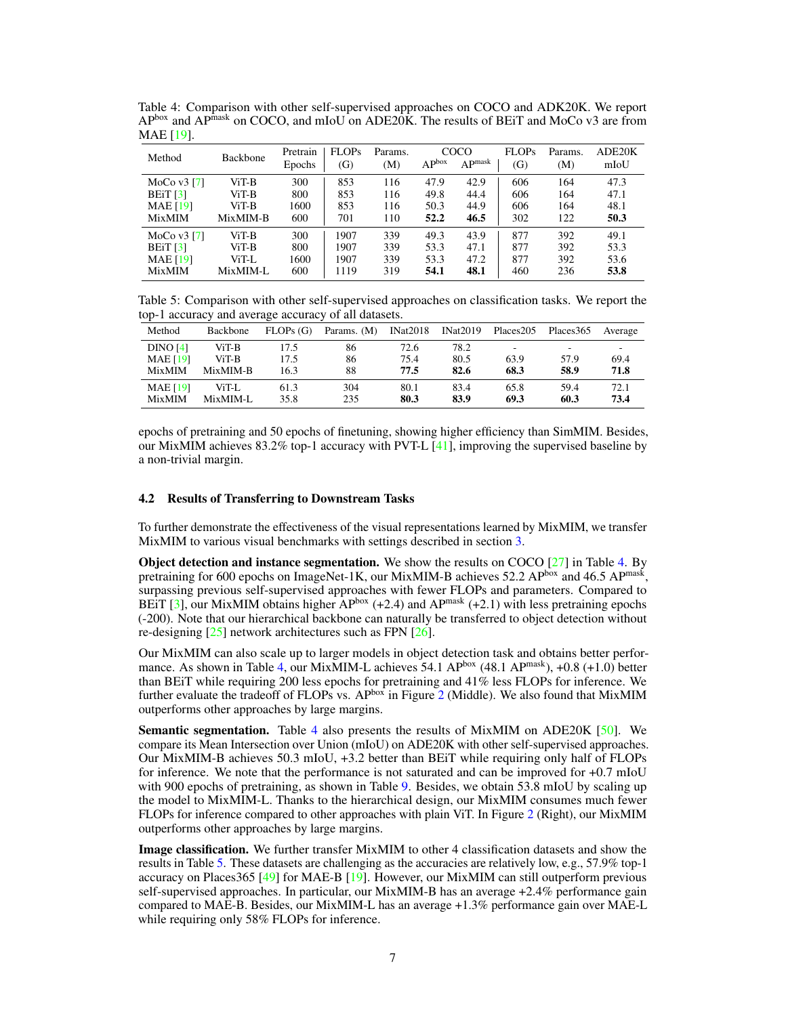<span id="page-6-1"></span>Table 4: Comparison with other self-supervised approaches on COCO and ADK20K. We report  $AP<sup>box</sup>$  and  $AP<sup>mask</sup>$  on COCO, and mIoU on  $ADE20K$ . The results of BEiT and MoCo v3 are from MAE [\[19\]](#page-11-1).

| Method                | <b>Backbone</b> | Pretrain<br>Epochs | FLOPs<br>(G) | Params.<br>(M) | AP <sub>box</sub> | COCO<br>AP <sub>mask</sub> | FLOPs<br>(G) | Params.<br>(M) | ADE20K<br>mIoU |
|-----------------------|-----------------|--------------------|--------------|----------------|-------------------|----------------------------|--------------|----------------|----------------|
| MoCo $v3$ [7]         | ViT-B           | 300                | 853          | 116            | 47.9              | 42.9                       | 606          | 164            | 47.3           |
| BEiT $\left[3\right]$ | ViT-B           | 800                | 853          | 116            | 49.8              | 44.4                       | 606          | 164            | 47.1           |
| <b>MAE</b> [19]       | ViT-B           | 1600               | 853          | 116            | 50.3              | 44.9                       | 606          | 164            | 48.1           |
| <b>MixMIM</b>         | MixMIM-B        | 600                | 701          | 110            | 52.2              | 46.5                       | 302          | 122            | 50.3           |
| MoCo $v3$ [7]         | ViT-B           | 300                | 1907         | 339            | 49.3              | 43.9                       | 877          | 392            | 49.1           |
| BEiT <sub>131</sub>   | ViT-B           | 800                | 1907         | 339            | 53.3              | 47.1                       | 877          | 392            | 53.3           |
| <b>MAE</b> [19]       | ViT-L           | 1600               | 1907         | 339            | 53.3              | 47.2                       | 877          | 392            | 53.6           |
| <b>MixMIM</b>         | MixMIM-L        | 600                | 1119         | 319            | 54.1              | 48.1                       | 460          | 236            | 53.8           |

<span id="page-6-2"></span>Table 5: Comparison with other self-supervised approaches on classification tasks. We report the top-1 accuracy and average accuracy of all datasets.

| Method          | Backbone | FLOPs(G) | Params. $(M)$ | INat2018 | INat2019 | Places205 | Places 365 | Average |
|-----------------|----------|----------|---------------|----------|----------|-----------|------------|---------|
| DINO [4]        | ViT-B    | 17.5     | 86            | 72.6     | 78.2     | ۰         | ۰          |         |
| <b>MAE</b> [19] | ViT-B    | 17.5     | 86            | 75.4     | 80.5     | 63.9      | 57.9       | 69.4    |
| <b>MixMIM</b>   | MixMIM-B | 16.3     | 88            | 77.5     | 82.6     | 68.3      | 58.9       | 71.8    |
| <b>MAE [19]</b> | ViT-L    | 61.3     | 304           | 80.1     | 83.4     | 65.8      | 59.4       | 72.1    |
| <b>MixMIM</b>   | MixMIM-L | 35.8     | 235           | 80.3     | 83.9     | 69.3      | 60.3       | 73.4    |

epochs of pretraining and 50 epochs of finetuning, showing higher efficiency than SimMIM. Besides, our MixMIM achieves 83.2% top-1 accuracy with PVT-L [\[41\]](#page-11-9), improving the supervised baseline by a non-trivial margin.

#### <span id="page-6-0"></span>4.2 Results of Transferring to Downstream Tasks

To further demonstrate the effectiveness of the visual representations learned by MixMIM, we transfer MixMIM to various visual benchmarks with settings described in section [3.](#page-3-2)

Object detection and instance segmentation. We show the results on COCO [\[27\]](#page-11-4) in Table [4.](#page-6-1) By pretraining for 600 epochs on ImageNet-1K, our MixMIM-B achieves 52.2 APbox and 46.5 APmask, surpassing previous self-supervised approaches with fewer FLOPs and parameters. Compared to BEIT [\[3\]](#page-10-0), our MixMIM obtains higher  $AP^{box}$  (+2.4) and  $AP^{mask}$  (+2.1) with less pretraining epochs (-200). Note that our hierarchical backbone can naturally be transferred to object detection without re-designing [\[25\]](#page-11-14) network architectures such as FPN [\[26\]](#page-11-18).

Our MixMIM can also scale up to larger models in object detection task and obtains better perfor-mance. As shown in Table [4,](#page-6-1) our MixMIM-L achieves 54.1 APbox (48.1 APmask), +0.8 (+1.0) better than BEiT while requiring 200 less epochs for pretraining and 41% less FLOPs for inference. We further evaluate the tradeoff of FLOPs vs.  $AP^{box}$  in Figure [2](#page-4-2) (Middle). We also found that MixMIM outperforms other approaches by large margins.

Semantic segmentation. Table [4](#page-6-1) also presents the results of MixMIM on ADE20K [\[50\]](#page-12-2). We compare its Mean Intersection over Union (mIoU) on ADE20K with other self-supervised approaches. Our MixMIM-B achieves 50.3 mIoU, +3.2 better than BEiT while requiring only half of FLOPs for inference. We note that the performance is not saturated and can be improved for +0.7 mIoU with 900 epochs of pretraining, as shown in Table [9.](#page-7-1) Besides, we obtain 53.8 mIoU by scaling up the model to MixMIM-L. Thanks to the hierarchical design, our MixMIM consumes much fewer FLOPs for inference compared to other approaches with plain ViT. In Figure [2](#page-4-2) (Right), our MixMIM outperforms other approaches by large margins.

Image classification. We further transfer MixMIM to other 4 classification datasets and show the results in Table [5.](#page-6-2) These datasets are challenging as the accuracies are relatively low, e.g., 57.9% top-1 accuracy on Places365 [\[49\]](#page-12-3) for MAE-B [\[19\]](#page-11-1). However, our MixMIM can still outperform previous self-supervised approaches. In particular, our MixMIM-B has an average +2.4% performance gain compared to MAE-B. Besides, our MixMIM-L has an average +1.3% performance gain over MAE-L while requiring only 58% FLOPs for inference.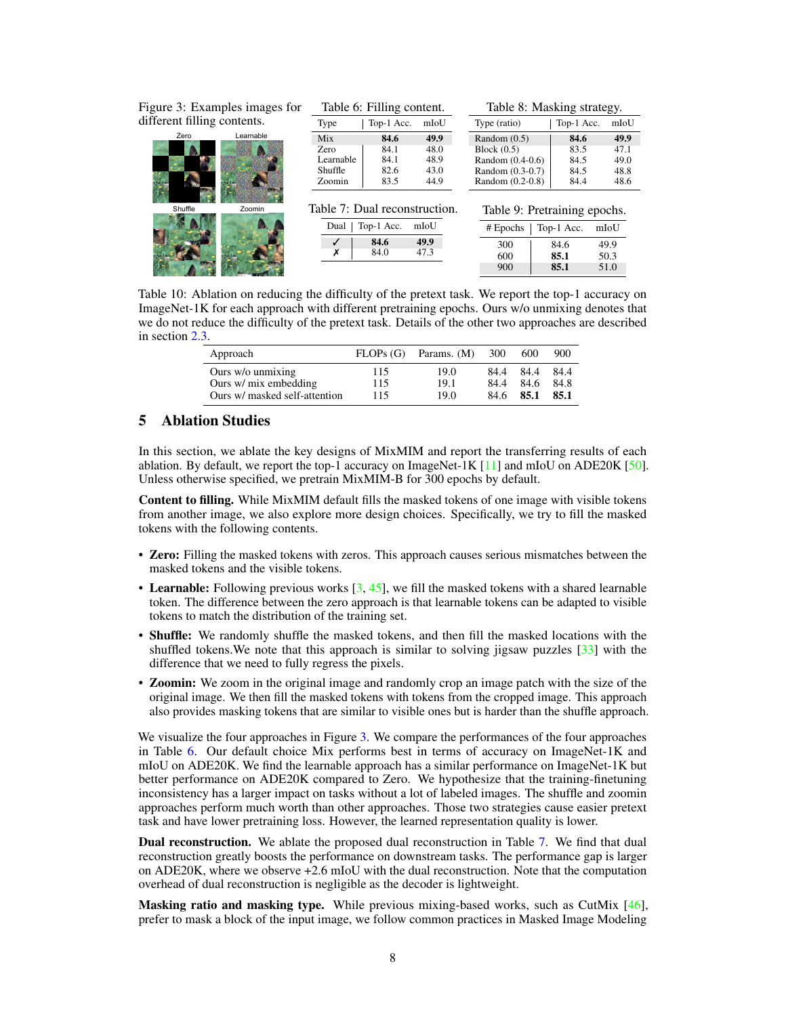<span id="page-7-1"></span>

| Figure 3: Examples images for |                                               | Table 6: Filling content.                                   |                                      | Table 8: Masking strategy.                                                                    |                                      |                                      |  |
|-------------------------------|-----------------------------------------------|-------------------------------------------------------------|--------------------------------------|-----------------------------------------------------------------------------------------------|--------------------------------------|--------------------------------------|--|
| different filling contents.   | Type                                          | Top-1 Acc.                                                  | mIoU                                 | Type (ratio)                                                                                  | Top-1 Acc.                           | mIoU                                 |  |
| Learnable<br>Zero             | Mix<br>Zero<br>Learnable<br>Shuffle<br>Zoomin | 84.6<br>84.1<br>84.1<br>82.6<br>83.5                        | 49.9<br>48.0<br>48.9<br>43.0<br>44.9 | Random $(0.5)$<br>Block $(0.5)$<br>Random $(0.4-0.6)$<br>Random (0.3-0.7)<br>Random (0.2-0.8) | 84.6<br>83.5<br>84.5<br>84.5<br>84.4 | 49.9<br>47.1<br>49.0<br>48.8<br>48.6 |  |
| Shuffle<br>Zoomin             | Dual                                          | Table 7: Dual reconstruction.<br>Top-1 Acc.<br>84.6<br>84.0 | mIoU<br>49.9<br>47.3                 | Table 9: Pretraining epochs.<br>$#$ Epochs<br>300<br>600<br>900                               | Top-1 Acc.<br>84.6<br>85.1<br>85.1   | mIoU<br>49.9<br>50.3<br>51.0         |  |

<span id="page-7-2"></span>Table 10: Ablation on reducing the difficulty of the pretext task. We report the top-1 accuracy on ImageNet-1K for each approach with different pretraining epochs. Ours w/o unmixing denotes that we do not reduce the difficulty of the pretext task. Details of the other two approaches are described in section [2.3.](#page-3-3)

| Approach                      | FLOPs(G) | Params. (M) | 300  | 600  | 900  |
|-------------------------------|----------|-------------|------|------|------|
| Ours w/o unmixing             | 115      | 19.0        | 84.4 | 84.4 | 84.4 |
| Ours w/ mix embedding         | 115      | 19.1        | 84.4 | 84.6 | 84.8 |
| Ours w/ masked self-attention | 115      | 19.0        | 84.6 | 85.1 | 85.1 |

# <span id="page-7-0"></span>5 Ablation Studies

In this section, we ablate the key designs of MixMIM and report the transferring results of each ablation. By default, we report the top-1 accuracy on ImageNet-1K [\[11\]](#page-11-3) and mIoU on ADE20K [\[50\]](#page-12-2). Unless otherwise specified, we pretrain MixMIM-B for 300 epochs by default.

Content to filling. While MixMIM default fills the masked tokens of one image with visible tokens from another image, we also explore more design choices. Specifically, we try to fill the masked tokens with the following contents.

- Zero: Filling the masked tokens with zeros. This approach causes serious mismatches between the masked tokens and the visible tokens.
- Learnable: Following previous works  $[3, 45]$  $[3, 45]$  $[3, 45]$ , we fill the masked tokens with a shared learnable token. The difference between the zero approach is that learnable tokens can be adapted to visible tokens to match the distribution of the training set.
- Shuffle: We randomly shuffle the masked tokens, and then fill the masked locations with the shuffled tokens.We note that this approach is similar to solving jigsaw puzzles [\[33\]](#page-11-19) with the difference that we need to fully regress the pixels.
- Zoomin: We zoom in the original image and randomly crop an image patch with the size of the original image. We then fill the masked tokens with tokens from the cropped image. This approach also provides masking tokens that are similar to visible ones but is harder than the shuffle approach.

We visualize the four approaches in Figure [3.](#page-7-1) We compare the performances of the four approaches in Table [6.](#page-7-1) Our default choice Mix performs best in terms of accuracy on ImageNet-1K and mIoU on ADE20K. We find the learnable approach has a similar performance on ImageNet-1K but better performance on ADE20K compared to Zero. We hypothesize that the training-finetuning inconsistency has a larger impact on tasks without a lot of labeled images. The shuffle and zoomin approaches perform much worth than other approaches. Those two strategies cause easier pretext task and have lower pretraining loss. However, the learned representation quality is lower.

Dual reconstruction. We ablate the proposed dual reconstruction in Table [7.](#page-7-1) We find that dual reconstruction greatly boosts the performance on downstream tasks. The performance gap is larger on ADE20K, where we observe +2.6 mIoU with the dual reconstruction. Note that the computation overhead of dual reconstruction is negligible as the decoder is lightweight.

**Masking ratio and masking type.** While previous mixing-based works, such as CutMix  $[46]$ , prefer to mask a block of the input image, we follow common practices in Masked Image Modeling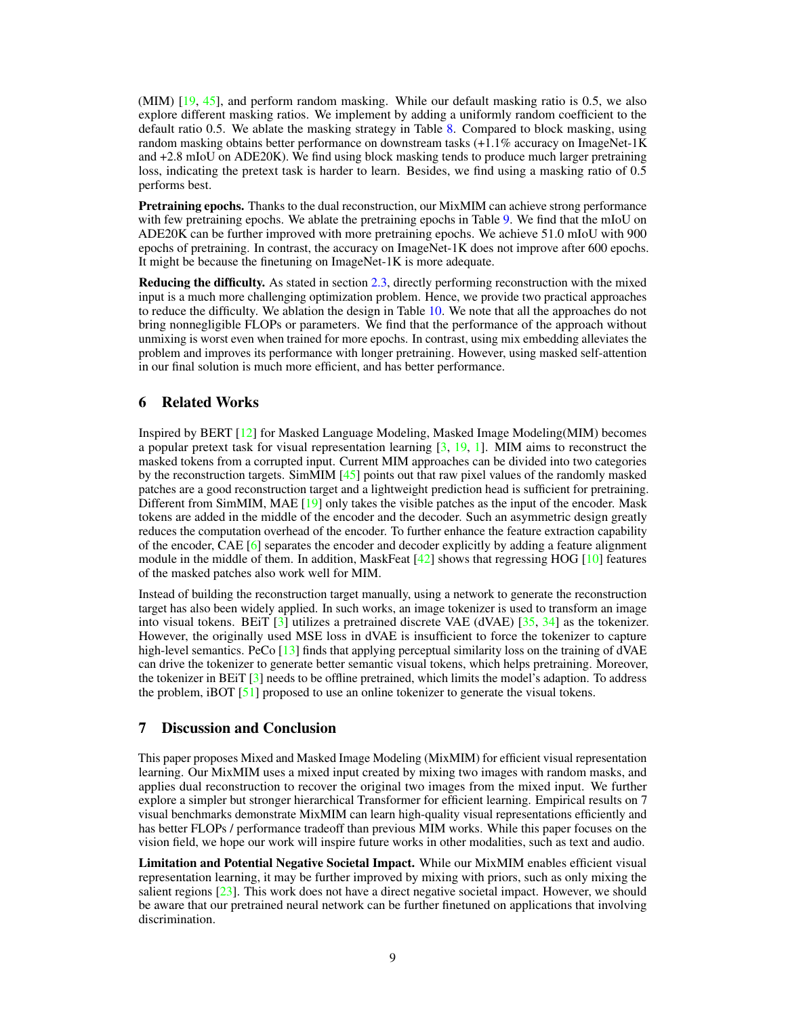(MIM) [\[19,](#page-11-1) [45\]](#page-12-0), and perform random masking. While our default masking ratio is 0.5, we also explore different masking ratios. We implement by adding a uniformly random coefficient to the default ratio 0.5. We ablate the masking strategy in Table [8.](#page-7-1) Compared to block masking, using random masking obtains better performance on downstream tasks  $(+1.1\%$  accuracy on ImageNet-1K and +2.8 mIoU on ADE20K). We find using block masking tends to produce much larger pretraining loss, indicating the pretext task is harder to learn. Besides, we find using a masking ratio of 0.5 performs best.

Pretraining epochs. Thanks to the dual reconstruction, our MixMIM can achieve strong performance with few pretraining epochs. We ablate the pretraining epochs in Table [9.](#page-7-1) We find that the mIoU on ADE20K can be further improved with more pretraining epochs. We achieve 51.0 mIoU with 900 epochs of pretraining. In contrast, the accuracy on ImageNet-1K does not improve after 600 epochs. It might be because the finetuning on ImageNet-1K is more adequate.

Reducing the difficulty. As stated in section [2.3,](#page-3-3) directly performing reconstruction with the mixed input is a much more challenging optimization problem. Hence, we provide two practical approaches to reduce the difficulty. We ablation the design in Table [10.](#page-7-2) We note that all the approaches do not bring nonnegligible FLOPs or parameters. We find that the performance of the approach without unmixing is worst even when trained for more epochs. In contrast, using mix embedding alleviates the problem and improves its performance with longer pretraining. However, using masked self-attention in our final solution is much more efficient, and has better performance.

## 6 Related Works

Inspired by BERT [\[12\]](#page-11-0) for Masked Language Modeling, Masked Image Modeling(MIM) becomes a popular pretext task for visual representation learning [\[3,](#page-10-0) [19,](#page-11-1) [1\]](#page-10-6). MIM aims to reconstruct the masked tokens from a corrupted input. Current MIM approaches can be divided into two categories by the reconstruction targets. SimMIM [\[45\]](#page-12-0) points out that raw pixel values of the randomly masked patches are a good reconstruction target and a lightweight prediction head is sufficient for pretraining. Different from SimMIM, MAE [\[19\]](#page-11-1) only takes the visible patches as the input of the encoder. Mask tokens are added in the middle of the encoder and the decoder. Such an asymmetric design greatly reduces the computation overhead of the encoder. To further enhance the feature extraction capability of the encoder, CAE [\[6\]](#page-10-2) separates the encoder and decoder explicitly by adding a feature alignment module in the middle of them. In addition, MaskFeat  $[42]$  shows that regressing HOG  $[10]$  features of the masked patches also work well for MIM.

Instead of building the reconstruction target manually, using a network to generate the reconstruction target has also been widely applied. In such works, an image tokenizer is used to transform an image into visual tokens. BEiT [\[3\]](#page-10-0) utilizes a pretrained discrete VAE (dVAE) [\[35,](#page-11-21) [34\]](#page-11-22) as the tokenizer. However, the originally used MSE loss in dVAE is insufficient to force the tokenizer to capture high-level semantics. PeCo [\[13\]](#page-11-16) finds that applying perceptual similarity loss on the training of dVAE can drive the tokenizer to generate better semantic visual tokens, which helps pretraining. Moreover, the tokenizer in BEiT [\[3\]](#page-10-0) needs to be offline pretrained, which limits the model's adaption. To address the problem, iBOT [\[51\]](#page-12-7) proposed to use an online tokenizer to generate the visual tokens.

## 7 Discussion and Conclusion

This paper proposes Mixed and Masked Image Modeling (MixMIM) for efficient visual representation learning. Our MixMIM uses a mixed input created by mixing two images with random masks, and applies dual reconstruction to recover the original two images from the mixed input. We further explore a simpler but stronger hierarchical Transformer for efficient learning. Empirical results on 7 visual benchmarks demonstrate MixMIM can learn high-quality visual representations efficiently and has better FLOPs / performance tradeoff than previous MIM works. While this paper focuses on the vision field, we hope our work will inspire future works in other modalities, such as text and audio.

Limitation and Potential Negative Societal Impact. While our MixMIM enables efficient visual representation learning, it may be further improved by mixing with priors, such as only mixing the salient regions [\[23\]](#page-11-23). This work does not have a direct negative societal impact. However, we should be aware that our pretrained neural network can be further finetuned on applications that involving discrimination.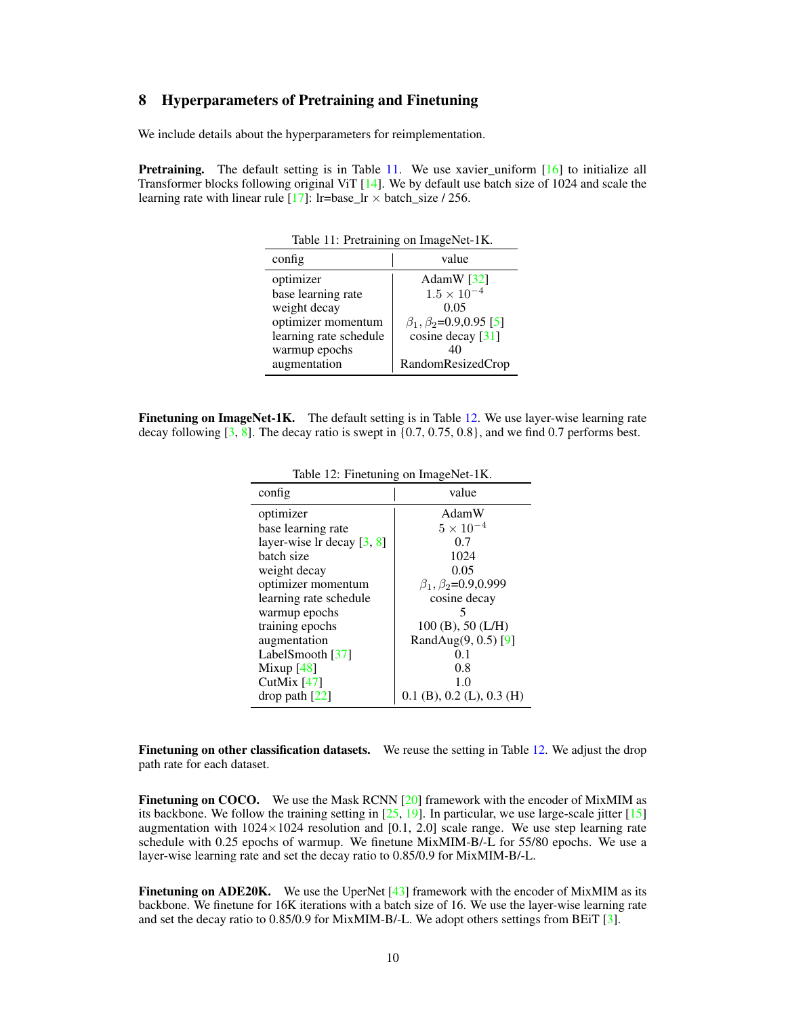# 8 Hyperparameters of Pretraining and Finetuning

We include details about the hyperparameters for reimplementation.

<span id="page-9-0"></span>Pretraining. The default setting is in Table [11.](#page-9-0) We use xavier\_uniform [\[16\]](#page-11-24) to initialize all Transformer blocks following original ViT [\[14\]](#page-11-11). We by default use batch size of 1024 and scale the learning rate with linear rule [\[17\]](#page-11-25): lr=base\_lr  $\times$  batch\_size / 256.

| Table 11: Pretraining on ImageNet-1K. |                                    |  |  |  |
|---------------------------------------|------------------------------------|--|--|--|
| config                                | value                              |  |  |  |
| optimizer                             | AdamW $[32]$                       |  |  |  |
| base learning rate                    | $1.5 \times 10^{-4}$               |  |  |  |
| weight decay                          | 0.05                               |  |  |  |
| optimizer momentum                    | $\beta_1, \beta_2 = 0.9, 0.95$ [5] |  |  |  |
| learning rate schedule                | cosine decay [31]                  |  |  |  |
| warmup epochs                         | 40                                 |  |  |  |
| augmentation                          | RandomResizedCrop                  |  |  |  |

<span id="page-9-1"></span>Finetuning on ImageNet-1K. The default setting is in Table [12.](#page-9-1) We use layer-wise learning rate decay following  $\begin{bmatrix} 3, 8 \end{bmatrix}$ . The decay ratio is swept in  $\{0.7, 0.75, 0.8\}$ , and we find 0.7 performs best.

| config                          | value                           |
|---------------------------------|---------------------------------|
| optimizer                       | AdamW                           |
| base learning rate              | $5 \times 10^{-4}$              |
| layer-wise $\ln$ decay $[3, 8]$ | 0.7                             |
| batch size                      | 1024                            |
| weight decay                    | 0.05                            |
| optimizer momentum              | $\beta_1, \beta_2 = 0.9, 0.999$ |
| learning rate schedule          | cosine decay                    |
| warmup epochs                   |                                 |
| training epochs                 | $100(B)$ , 50 (L/H)             |
| augmentation                    | RandAug(9, 0.5) [9]             |
| LabelSmooth $[37]$              | 01                              |
| Mixup $[48]$                    | 0.8                             |
| CutMix $[47]$                   | 1.0                             |
| $drop$ path $[22]$              | $0.1$ (B), $0.2$ (L), $0.3$ (H) |

Table 12: Finetuning on ImageNet-1K.

Finetuning on other classification datasets. We reuse the setting in Table [12.](#page-9-1) We adjust the drop path rate for each dataset.

Finetuning on COCO. We use the Mask RCNN [\[20\]](#page-11-12) framework with the encoder of MixMIM as its backbone. We follow the training setting in  $[25, 19]$  $[25, 19]$  $[25, 19]$ . In particular, we use large-scale jitter  $[15]$ augmentation with  $1024 \times 1024$  resolution and [0.1, 2.0] scale range. We use step learning rate schedule with 0.25 epochs of warmup. We finetune MixMIM-B/-L for 55/80 epochs. We use a layer-wise learning rate and set the decay ratio to 0.85/0.9 for MixMIM-B/-L.

**Finetuning on ADE20K.** We use the UperNet  $[43]$  framework with the encoder of MixMIM as its backbone. We finetune for 16K iterations with a batch size of 16. We use the layer-wise learning rate and set the decay ratio to 0.85/0.9 for MixMIM-B/-L. We adopt others settings from BEiT [\[3\]](#page-10-0).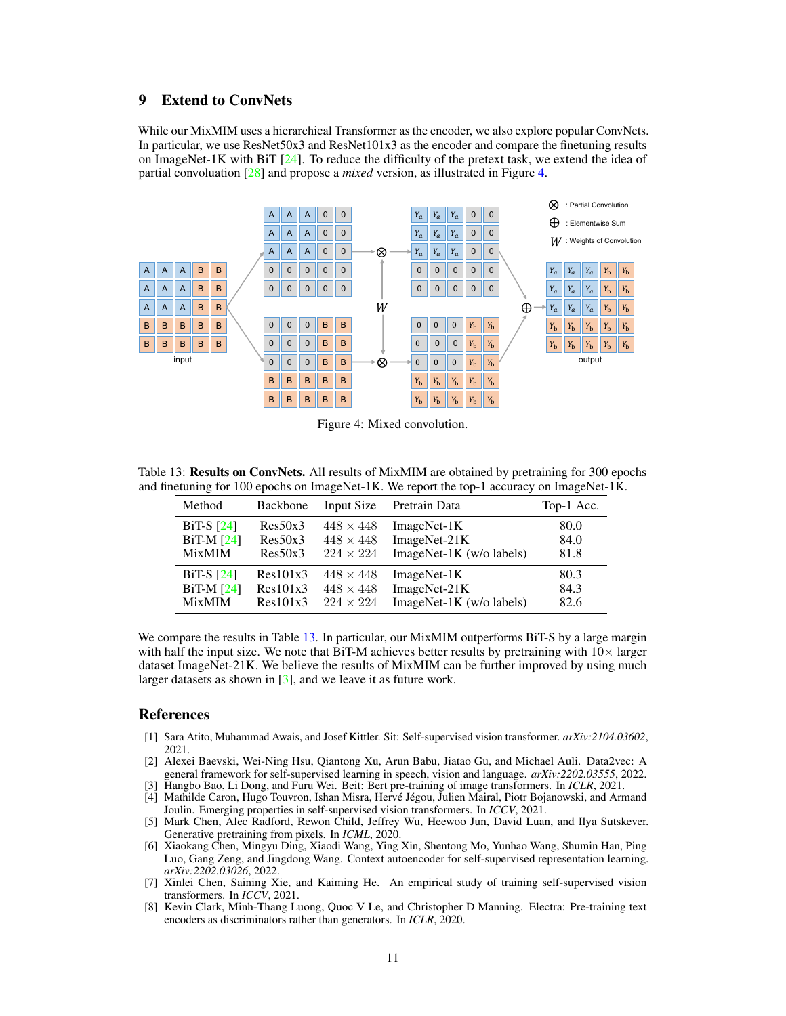# 9 Extend to ConvNets

While our MixMIM uses a hierarchical Transformer as the encoder, we also explore popular ConvNets. In particular, we use ResNet50x3 and ResNet101x3 as the encoder and compare the finetuning results on ImageNet-1K with BiT  $[24]$ . To reduce the difficulty of the pretext task, we extend the idea of partial convoluation [\[28\]](#page-11-32) and propose a *mixed* version, as illustrated in Figure [4.](#page-10-8)

<span id="page-10-8"></span>

Figure 4: Mixed convolution.

<span id="page-10-9"></span>Table 13: Results on ConvNets. All results of MixMIM are obtained by pretraining for 300 epochs and finetuning for 100 epochs on ImageNet-1K. We report the top-1 accuracy on ImageNet-1K.

| Method        | <b>Backbone</b> | Input Size       | Pretrain Data              | Top-1 Acc. |
|---------------|-----------------|------------------|----------------------------|------------|
| BiT-S $[24]$  | Res50x3         | $448 \times 448$ | ImageNet-1K                | 80.0       |
| $BiT-M [24]$  | Res50x3         | $448 \times 448$ | ImageNet-21K               | 84.0       |
| <b>MixMIM</b> | Res50x3         | $224 \times 224$ | $ImageNet-1K$ (w/o labels) | 81.8       |
| BiT-S $[24]$  | Res101x3        | $448 \times 448$ | ImageNet-1K                | 80.3       |
| $BiT-M [24]$  | Res101x3        | $448 \times 448$ | ImageNet-21K               | 84.3       |
| <b>MixMIM</b> | Res101x3        | $224 \times 224$ | ImageNet-1K (w/o labels)   | 82.6       |

We compare the results in Table [13.](#page-10-9) In particular, our MixMIM outperforms BiT-S by a large margin with half the input size. We note that BiT-M achieves better results by pretraining with  $10\times$  larger dataset ImageNet-21K. We believe the results of MixMIM can be further improved by using much larger datasets as shown in  $\lceil 3 \rceil$ , and we leave it as future work.

## References

- <span id="page-10-6"></span>[1] Sara Atito, Muhammad Awais, and Josef Kittler. Sit: Self-supervised vision transformer. *arXiv:2104.03602*, 2021.
- <span id="page-10-3"></span>[2] Alexei Baevski, Wei-Ning Hsu, Qiantong Xu, Arun Babu, Jiatao Gu, and Michael Auli. Data2vec: A general framework for self-supervised learning in speech, vision and language. *arXiv:2202.03555*, 2022.
- <span id="page-10-5"></span><span id="page-10-0"></span>[3] Hangbo Bao, Li Dong, and Furu Wei. Beit: Bert pre-training of image transformers. In *ICLR*, 2021.
- [4] Mathilde Caron, Hugo Touvron, Ishan Misra, Hervé Jégou, Julien Mairal, Piotr Bojanowski, and Armand Joulin. Emerging properties in self-supervised vision transformers. In *ICCV*, 2021.
- <span id="page-10-7"></span>[5] Mark Chen, Alec Radford, Rewon Child, Jeffrey Wu, Heewoo Jun, David Luan, and Ilya Sutskever. Generative pretraining from pixels. In *ICML*, 2020.
- <span id="page-10-2"></span>[6] Xiaokang Chen, Mingyu Ding, Xiaodi Wang, Ying Xin, Shentong Mo, Yunhao Wang, Shumin Han, Ping Luo, Gang Zeng, and Jingdong Wang. Context autoencoder for self-supervised representation learning. *arXiv:2202.03026*, 2022.
- <span id="page-10-4"></span>[7] Xinlei Chen, Saining Xie, and Kaiming He. An empirical study of training self-supervised vision transformers. In *ICCV*, 2021.
- <span id="page-10-1"></span>[8] Kevin Clark, Minh-Thang Luong, Quoc V Le, and Christopher D Manning. Electra: Pre-training text encoders as discriminators rather than generators. In *ICLR*, 2020.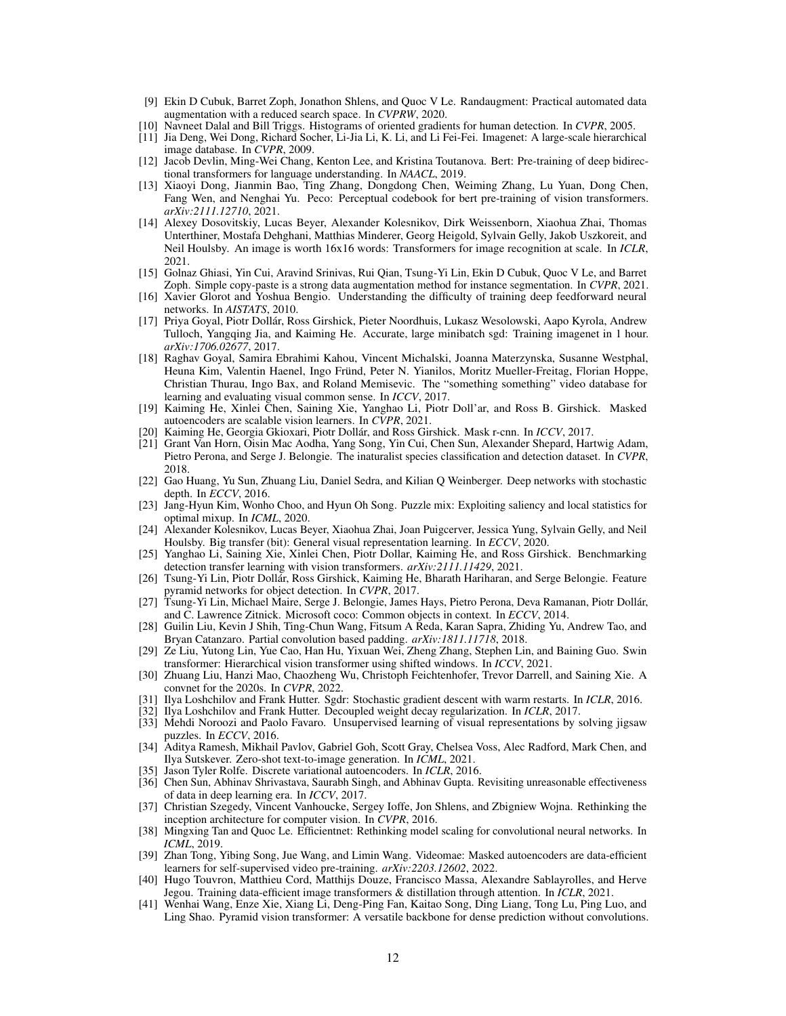- <span id="page-11-28"></span>[9] Ekin D Cubuk, Barret Zoph, Jonathon Shlens, and Quoc V Le. Randaugment: Practical automated data augmentation with a reduced search space. In *CVPRW*, 2020.
- <span id="page-11-20"></span>[10] Navneet Dalal and Bill Triggs. Histograms of oriented gradients for human detection. In *CVPR*, 2005.
- <span id="page-11-3"></span>[11] Jia Deng, Wei Dong, Richard Socher, Li-Jia Li, K. Li, and Li Fei-Fei. Imagenet: A large-scale hierarchical image database. In *CVPR*, 2009.
- <span id="page-11-0"></span>[12] Jacob Devlin, Ming-Wei Chang, Kenton Lee, and Kristina Toutanova. Bert: Pre-training of deep bidirectional transformers for language understanding. In *NAACL*, 2019.
- <span id="page-11-16"></span>[13] Xiaoyi Dong, Jianmin Bao, Ting Zhang, Dongdong Chen, Weiming Zhang, Lu Yuan, Dong Chen, Fang Wen, and Nenghai Yu. Peco: Perceptual codebook for bert pre-training of vision transformers. *arXiv:2111.12710*, 2021.
- <span id="page-11-11"></span>[14] Alexey Dosovitskiy, Lucas Beyer, Alexander Kolesnikov, Dirk Weissenborn, Xiaohua Zhai, Thomas Unterthiner, Mostafa Dehghani, Matthias Minderer, Georg Heigold, Sylvain Gelly, Jakob Uszkoreit, and Neil Houlsby. An image is worth 16x16 words: Transformers for image recognition at scale. In *ICLR*, 2021.
- <span id="page-11-30"></span>[15] Golnaz Ghiasi, Yin Cui, Aravind Srinivas, Rui Qian, Tsung-Yi Lin, Ekin D Cubuk, Quoc V Le, and Barret Zoph. Simple copy-paste is a strong data augmentation method for instance segmentation. In *CVPR*, 2021.
- <span id="page-11-24"></span>[16] Xavier Glorot and Yoshua Bengio. Understanding the difficulty of training deep feedforward neural networks. In *AISTATS*, 2010.
- <span id="page-11-25"></span>[17] Priya Goyal, Piotr Dollár, Ross Girshick, Pieter Noordhuis, Lukasz Wesolowski, Aapo Kyrola, Andrew Tulloch, Yangqing Jia, and Kaiming He. Accurate, large minibatch sgd: Training imagenet in 1 hour. *arXiv:1706.02677*, 2017.
- <span id="page-11-5"></span>[18] Raghav Goyal, Samira Ebrahimi Kahou, Vincent Michalski, Joanna Materzynska, Susanne Westphal, Heuna Kim, Valentin Haenel, Ingo Fründ, Peter N. Yianilos, Moritz Mueller-Freitag, Florian Hoppe, Christian Thurau, Ingo Bax, and Roland Memisevic. The "something something" video database for learning and evaluating visual common sense. In *ICCV*, 2017.
- <span id="page-11-1"></span>[19] Kaiming He, Xinlei Chen, Saining Xie, Yanghao Li, Piotr Doll'ar, and Ross B. Girshick. Masked autoencoders are scalable vision learners. In *CVPR*, 2021.
- <span id="page-11-12"></span>[20] Kaiming He, Georgia Gkioxari, Piotr Dollár, and Ross Girshick. Mask r-cnn. In *ICCV*, 2017.
- <span id="page-11-10"></span>[21] Grant Van Horn, Oisin Mac Aodha, Yang Song, Yin Cui, Chen Sun, Alexander Shepard, Hartwig Adam, Pietro Perona, and Serge J. Belongie. The inaturalist species classification and detection dataset. In *CVPR*, 2018.
- <span id="page-11-13"></span>[22] Gao Huang, Yu Sun, Zhuang Liu, Daniel Sedra, and Kilian Q Weinberger. Deep networks with stochastic depth. In *ECCV*, 2016.
- <span id="page-11-23"></span>[23] Jang-Hyun Kim, Wonho Choo, and Hyun Oh Song. Puzzle mix: Exploiting saliency and local statistics for optimal mixup. In *ICML*, 2020.
- <span id="page-11-31"></span>[24] Alexander Kolesnikov, Lucas Beyer, Xiaohua Zhai, Joan Puigcerver, Jessica Yung, Sylvain Gelly, and Neil Houlsby. Big transfer (bit): General visual representation learning. In *ECCV*, 2020.
- <span id="page-11-14"></span>[25] Yanghao Li, Saining Xie, Xinlei Chen, Piotr Dollar, Kaiming He, and Ross Girshick. Benchmarking detection transfer learning with vision transformers. *arXiv:2111.11429*, 2021.
- <span id="page-11-18"></span>[26] Tsung-Yi Lin, Piotr Dollár, Ross Girshick, Kaiming He, Bharath Hariharan, and Serge Belongie. Feature pyramid networks for object detection. In *CVPR*, 2017.
- <span id="page-11-4"></span>[27] Tsung-Yi Lin, Michael Maire, Serge J. Belongie, James Hays, Pietro Perona, Deva Ramanan, Piotr Dollár, and C. Lawrence Zitnick. Microsoft coco: Common objects in context. In *ECCV*, 2014.
- <span id="page-11-32"></span>[28] Guilin Liu, Kevin J Shih, Ting-Chun Wang, Fitsum A Reda, Karan Sapra, Zhiding Yu, Andrew Tao, and Bryan Catanzaro. Partial convolution based padding. *arXiv:1811.11718*, 2018.
- <span id="page-11-8"></span>[29] Ze Liu, Yutong Lin, Yue Cao, Han Hu, Yixuan Wei, Zheng Zhang, Stephen Lin, and Baining Guo. Swin transformer: Hierarchical vision transformer using shifted windows. In *ICCV*, 2021.
- <span id="page-11-7"></span>[30] Zhuang Liu, Hanzi Mao, Chaozheng Wu, Christoph Feichtenhofer, Trevor Darrell, and Saining Xie. A convnet for the 2020s. In *CVPR*, 2022.
- <span id="page-11-27"></span>[31] Ilya Loshchilov and Frank Hutter. Sgdr: Stochastic gradient descent with warm restarts. In *ICLR*, 2016.
- <span id="page-11-26"></span>[32] Ilya Loshchilov and Frank Hutter. Decoupled weight decay regularization. In *ICLR*, 2017.
- <span id="page-11-19"></span>[33] Mehdi Noroozi and Paolo Favaro. Unsupervised learning of visual representations by solving jigsaw puzzles. In *ECCV*, 2016.
- <span id="page-11-22"></span>[34] Aditya Ramesh, Mikhail Pavlov, Gabriel Goh, Scott Gray, Chelsea Voss, Alec Radford, Mark Chen, and Ilya Sutskever. Zero-shot text-to-image generation. In *ICML*, 2021.
- <span id="page-11-21"></span>[35] Jason Tyler Rolfe. Discrete variational autoencoders. In *ICLR*, 2016.
- <span id="page-11-15"></span>[36] Chen Sun, Abhinav Shrivastava, Saurabh Singh, and Abhinav Gupta. Revisiting unreasonable effectiveness of data in deep learning era. In *ICCV*, 2017.
- <span id="page-11-29"></span>[37] Christian Szegedy, Vincent Vanhoucke, Sergey Ioffe, Jon Shlens, and Zbigniew Wojna. Rethinking the inception architecture for computer vision. In *CVPR*, 2016.
- <span id="page-11-6"></span>[38] Mingxing Tan and Quoc Le. Efficientnet: Rethinking model scaling for convolutional neural networks. In *ICML*, 2019.
- <span id="page-11-2"></span>[39] Zhan Tong, Yibing Song, Jue Wang, and Limin Wang. Videomae: Masked autoencoders are data-efficient learners for self-supervised video pre-training. *arXiv:2203.12602*, 2022.
- <span id="page-11-17"></span>[40] Hugo Touvron, Matthieu Cord, Matthijs Douze, Francisco Massa, Alexandre Sablayrolles, and Herve Jegou. Training data-efficient image transformers & distillation through attention. In *ICLR*, 2021.
- <span id="page-11-9"></span>[41] Wenhai Wang, Enze Xie, Xiang Li, Deng-Ping Fan, Kaitao Song, Ding Liang, Tong Lu, Ping Luo, and Ling Shao. Pyramid vision transformer: A versatile backbone for dense prediction without convolutions.